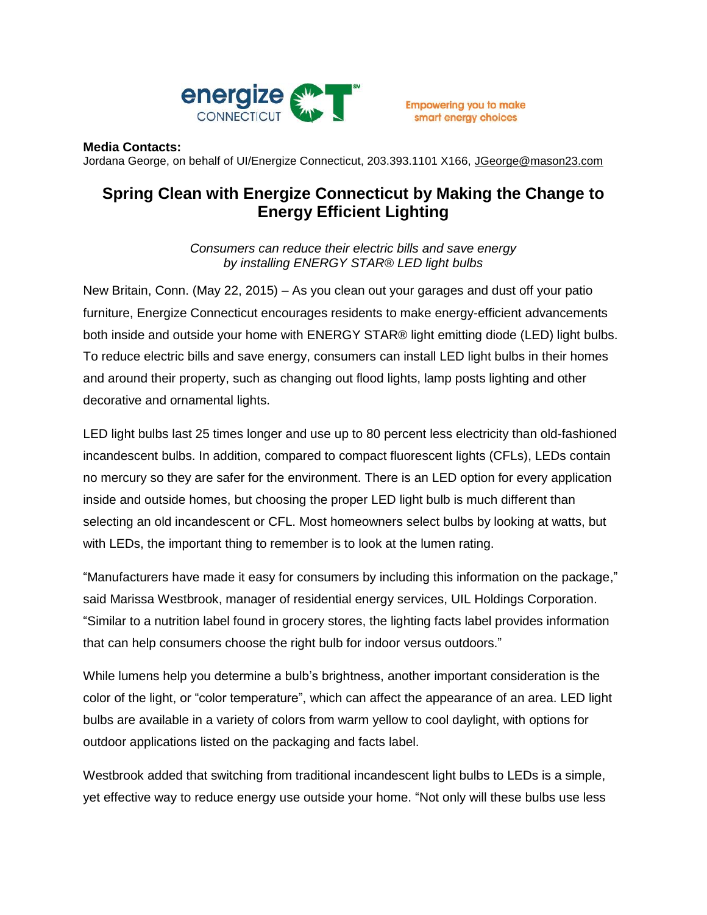

## **Media Contacts:**

Jordana George, on behalf of UI/Energize Connecticut, 203.393.1101 X166, [JGeorge@mason23.com](mailto:JGeorge@mason23.com)

## **Spring Clean with Energize Connecticut by Making the Change to Energy Efficient Lighting**

*Consumers can reduce their electric bills and save energy by installing ENERGY STAR® LED light bulbs*

New Britain, Conn. (May 22, 2015) – As you clean out your garages and dust off your patio furniture, Energize Connecticut encourages residents to make energy-efficient advancements both inside and outside your home with ENERGY STAR® light emitting diode (LED) light bulbs. To reduce electric bills and save energy, consumers can install LED light bulbs in their homes and around their property, such as changing out flood lights, lamp posts lighting and other decorative and ornamental lights.

LED light bulbs last 25 times longer and use up to 80 percent less electricity than old-fashioned incandescent bulbs. In addition, compared to compact fluorescent lights (CFLs), LEDs contain no mercury so they are safer for the environment. There is an LED option for every application inside and outside homes, but choosing the proper LED light bulb is much different than selecting an old incandescent or CFL. Most homeowners select bulbs by looking at watts, but with LEDs, the important thing to remember is to look at the lumen rating.

"Manufacturers have made it easy for consumers by including this information on the package," said Marissa Westbrook, manager of residential energy services, UIL Holdings Corporation. "Similar to a nutrition label found in grocery stores, the lighting facts label provides information that can help consumers choose the right bulb for indoor versus outdoors."

While lumens help you determine a bulb's brightness, another important consideration is the color of the light, or "color temperature", which can affect the appearance of an area. LED light bulbs are available in a variety of colors from warm yellow to cool daylight, with options for outdoor applications listed on the packaging and facts label.

Westbrook added that switching from traditional incandescent light bulbs to LEDs is a simple, yet effective way to reduce energy use outside your home. "Not only will these bulbs use less